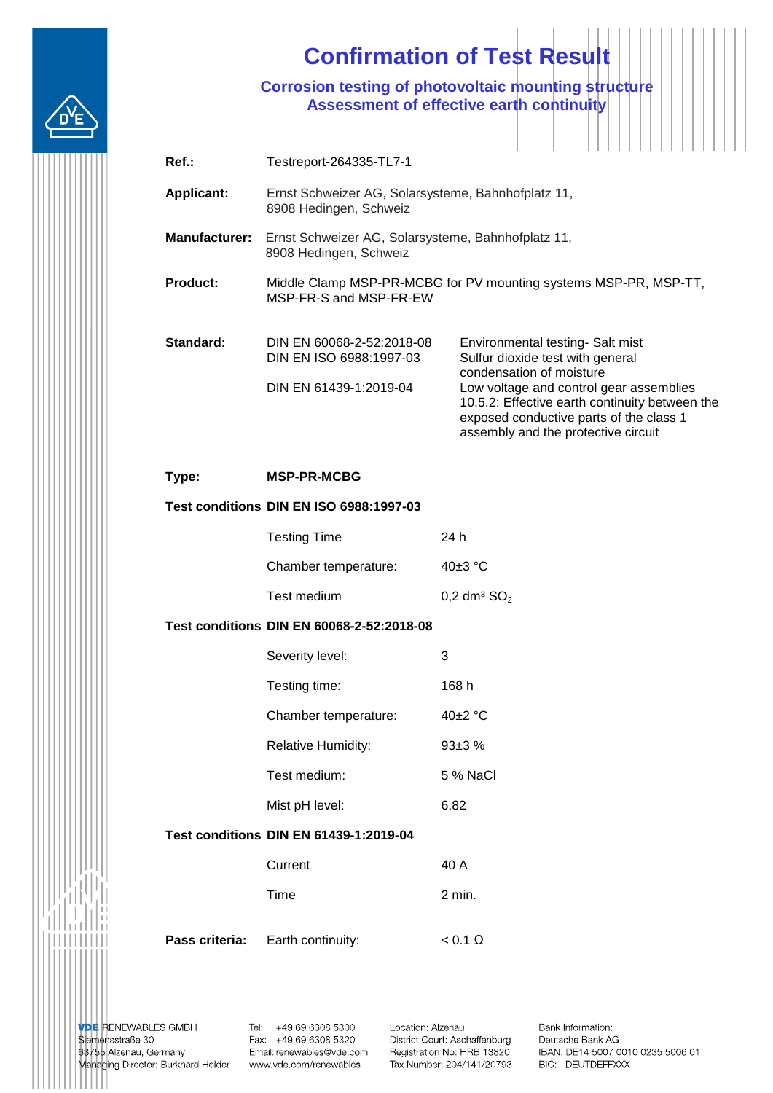

## **Confirmation of Test Result**

**Corrosion testing of photovoltaic mounting structure Assessment of effective earth continuity**

| $Ref.$ :             | Testreport-264335-TL7-1                                                                    |                                                                                                                                                                                                                                                                                 |  |
|----------------------|--------------------------------------------------------------------------------------------|---------------------------------------------------------------------------------------------------------------------------------------------------------------------------------------------------------------------------------------------------------------------------------|--|
| <b>Applicant:</b>    | Ernst Schweizer AG, Solarsysteme, Bahnhofplatz 11,<br>8908 Hedingen, Schweiz               |                                                                                                                                                                                                                                                                                 |  |
| <b>Manufacturer:</b> | Ernst Schweizer AG, Solarsysteme, Bahnhofplatz 11,<br>8908 Hedingen, Schweiz               |                                                                                                                                                                                                                                                                                 |  |
| <b>Product:</b>      | Middle Clamp MSP-PR-MCBG for PV mounting systems MSP-PR, MSP-TT,<br>MSP-FR-S and MSP-FR-EW |                                                                                                                                                                                                                                                                                 |  |
| Standard:            | DIN EN 60068-2-52:2018-08<br>DIN EN ISO 6988:1997-03<br>DIN EN 61439-1:2019-04             | Environmental testing- Salt mist<br>Sulfur dioxide test with general<br>condensation of moisture<br>Low voltage and control gear assemblies<br>10.5.2: Effective earth continuity between the<br>exposed conductive parts of the class 1<br>assembly and the protective circuit |  |

**Type: MSP-PR-MCBG** 

## **Test conditions DIN EN ISO 6988:1997-03**

| <b>Testing Time</b>  | 24 h                               |
|----------------------|------------------------------------|
| Chamber temperature: | 40 $\pm$ 3 °C                      |
| Test medium          | $0.2 \text{ dm}^3$ SO <sub>2</sub> |

## **Test conditions DIN EN 60068-2-52:2018-08**

| Severity level:           | З       |
|---------------------------|---------|
| Testing time:             | 168 h   |
| Chamber temperature:      | 40+2 °C |
| <b>Relative Humidity:</b> | $93+3%$ |
|                           |         |

Test medium: 5 % NaCl

Mist pH level: 6.82

## **Test conditions DIN EN 61439-1:2019-04**

| <b>Pass criteria:</b> Earth continuity: | $< 0.1 \Omega$ |
|-----------------------------------------|----------------|
| Time                                    | 2 min.         |
| Current                                 | 40 A           |

**VDE** RENEWABLES GMBH<br>Siemensstraße 30 63755 Alzenau, Germany Managing Director: Burkhard Holder

Tel: +49 69 6308 5300 Fax: +49 69 6308 5320 Email: renewables@vde.com www.vde.com/renewables

Location: Alzenau District Court: Aschaffenburg Registration No: HRB 13820 Tax Number: 204/141/20793

Bank Information: Deutsche Bank AG IBAN: DE14 5007 0010 0235 5006 01 BIC: DEUTDEFFXXX